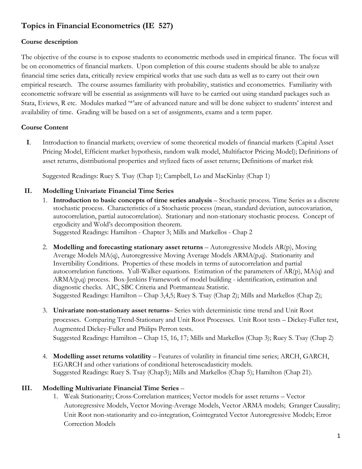# **Topics in Financial Econometrics (IE 527)**

### **Course description**

The objective of the course is to expose students to econometric methods used in empirical finance. The focus will be on econometrics of financial markets. Upon completion of this course students should be able to analyze financial time series data, critically review empirical works that use such data as well as to carry out their own empirical research. The course assumes familiarity with probability, statistics and econometrics. Familiarity with econometric software will be essential as assignments will have to be carried out using standard packages such as Stata, Eviews, R etc. Modules marked '\*'are of advanced nature and will be done subject to students' interest and availability of time. Grading will be based on a set of assignments, exams and a term paper.

# **Course Content**

 **I**. Introduction to financial markets; overview of some theoretical models of financial markets (Capital Asset Pricing Model, Efficient market hypothesis, random walk model, Multifactor Pricing Model); Definitions of asset returns, distributional properties and stylized facts of asset returns; Definitions of market risk

Suggested Readings: Ruey S. Tsay (Chap 1); Campbell, Lo and MacKinlay (Chap 1)

# **II. Modelling Univariate Financial Time Series**

- 1. **Introduction to basic concepts of time series analysis** Stochastic process. Time Series as a discrete stochastic process. Characteristics of a Stochastic process (mean, standard deviation, autocovariation, autocorrelation, partial autocorrelation). Stationary and non-stationary stochastic process. Concept of ergodicity and Wold's decomposition theorem. Suggested Readings: Hamilton - Chapter 3; Mills and Markellos - Chap 2
- 2. **Modelling and forecasting stationary asset returns**  Autoregressive Models AR(p), Moving Average Models MA(q), Autoregressive Moving Average Models ARMA(p,q). Stationarity and Invertibility Conditions. Properties of these models in terms of autocorrelation and partial autocorrelation functions. Yull-Walker equations. Estimation of the parameters of  $AR(p)$ ,  $MA(q)$  and ARMA(p,q) process. Box-Jenkins Framework of model building - identification, estimation and diagnostic checks. AIC, SBC Criteria and Portmanteau Statistic. Suggested Readings: Hamilton – Chap 3,4,5; Ruey S. Tsay (Chap 2); Mills and Markellos (Chap 2);
- 3. **Univariate non-stationary asset returns** Series with deterministic time trend and Unit Root processes. Comparing Trend-Stationary and Unit Root Processes. Unit Root tests – Dickey-Fuller test, Augmented Dickey-Fuller and Philips Perron tests. Suggested Readings: Hamilton – Chap 15, 16, 17; Mills and Markellos (Chap 3); Ruey S. Tsay (Chap 2)
- 4. **Modelling asset returns volatility** Features of volatility in financial time series; ARCH, GARCH, EGARCH and other variations of conditional heteroscadasticity models. Suggested Readings: Ruey S. Tsay (Chap3); Mills and Markellos (Chap 5); Hamilton (Chap 21).

#### **III. Modelling Multivariate Financial Time Series** –

1. Weak Stationarity; Cross-Correlation matrices; Vector models for asset returns – Vector Autoregressive Models, Vector Moving-Average Models, Vector ARMA models; Granger Causality; Unit Root non-stationarity and co-integration, Cointegrated Vector Autoregressive Models; Error Correction Models